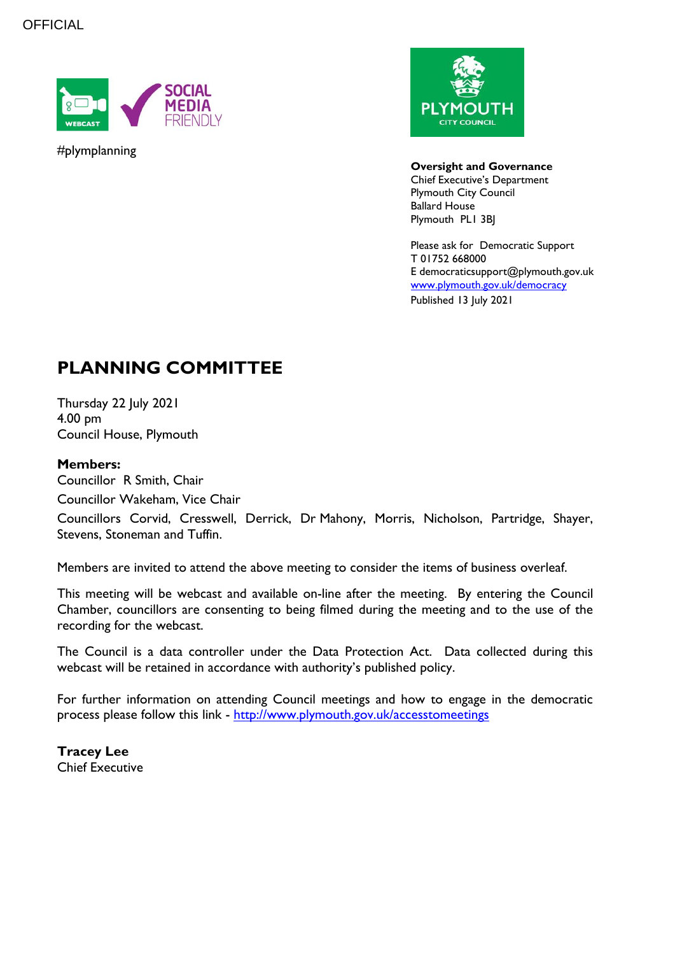

#plymplanning



**Oversight and Governance** Chief Executive's Department Plymouth City Council Ballard House Plymouth PL1 3BJ

Please ask for Democratic Support T 01752 668000 E democraticsupport@plymouth.gov.uk [www.plymouth.gov.uk/](http://www.plymouth.gov.uk/)democracy Published 13 July 2021

# **PLANNING COMMITTEE**

Thursday 22 July 2021 4.00 pm Council House, Plymouth

### **Members:**

Councillor R Smith, Chair Councillor Wakeham, Vice Chair

Councillors Corvid, Cresswell, Derrick, Dr Mahony, Morris, Nicholson, Partridge, Shayer, Stevens, Stoneman and Tuffin.

Members are invited to attend the above meeting to consider the items of business overleaf.

This meeting will be webcast and available on-line after the meeting. By entering the Council Chamber, councillors are consenting to being filmed during the meeting and to the use of the recording for the webcast.

The Council is a data controller under the Data Protection Act. Data collected during this webcast will be retained in accordance with authority's published policy.

For further information on attending Council meetings and how to engage in the democratic process please follow this link - <http://www.plymouth.gov.uk/accesstomeetings>

**Tracey Lee** Chief Executive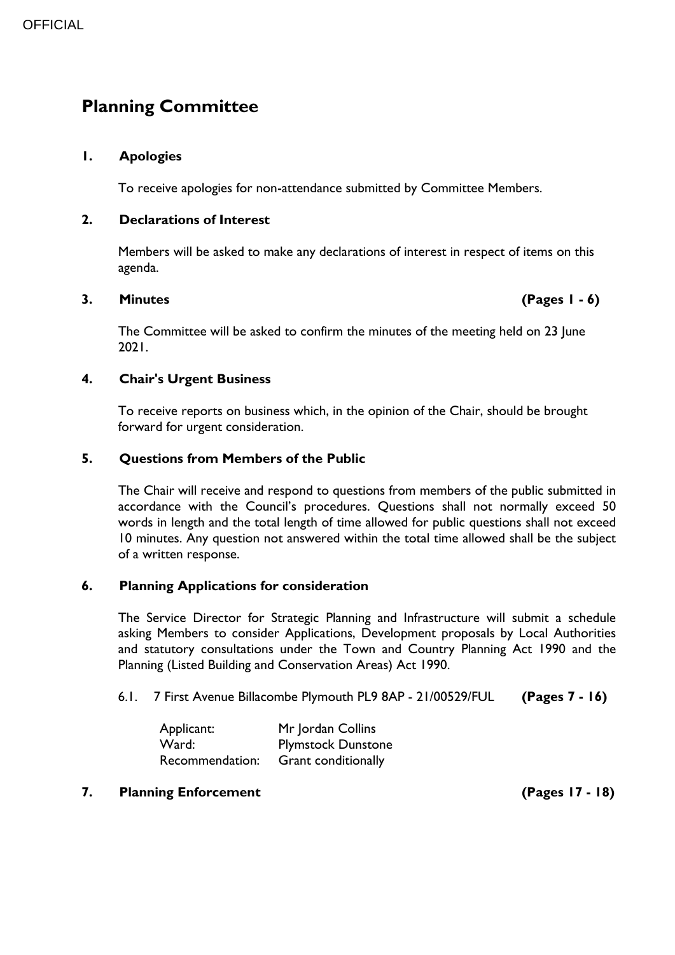## **Planning Committee**

#### **1. Apologies**

To receive apologies for non-attendance submitted by Committee Members.

#### **2. Declarations of Interest**

Members will be asked to make any declarations of interest in respect of items on this agenda.

#### **3. Minutes (Pages 1 - 6)**

The Committee will be asked to confirm the minutes of the meeting held on 23 June 2021.

#### **4. Chair's Urgent Business**

To receive reports on business which, in the opinion of the Chair, should be brought forward for urgent consideration.

#### **5. Questions from Members of the Public**

The Chair will receive and respond to questions from members of the public submitted in accordance with the Council's procedures. Questions shall not normally exceed 50 words in length and the total length of time allowed for public questions shall not exceed 10 minutes. Any question not answered within the total time allowed shall be the subject of a written response.

#### **6. Planning Applications for consideration**

The Service Director for Strategic Planning and Infrastructure will submit a schedule asking Members to consider Applications, Development proposals by Local Authorities and statutory consultations under the Town and Country Planning Act 1990 and the Planning (Listed Building and Conservation Areas) Act 1990.

6.1. 7 First Avenue Billacombe Plymouth PL9 8AP - 21/00529/FUL **(Pages 7 - 16)**

| Applicant:      | Mr Jordan Collins         |
|-----------------|---------------------------|
| Ward:           | <b>Plymstock Dunstone</b> |
| Recommendation: | Grant conditionally       |

#### **7. Planning Enforcement (Pages 17 - 18)**